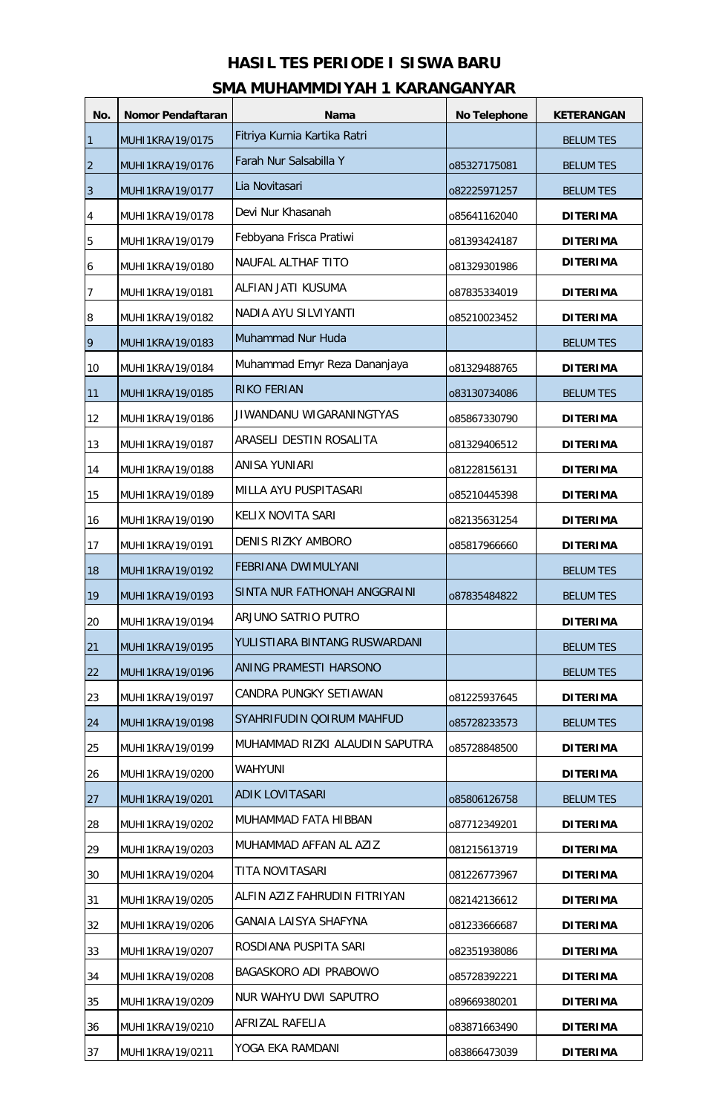## **HASIL TES PERIODE I SISWA BARU SMA MUHAMMDIYAH 1 KARANGANYAR**

| No.            | Nomor Pendaftaran | <b>Nama</b>                    | No Telephone | <b>KETERANGAN</b> |
|----------------|-------------------|--------------------------------|--------------|-------------------|
| $\mathbf{1}$   | MUHI1KRA/19/0175  | Fitriya Kurnia Kartika Ratri   |              | <b>BELUM TES</b>  |
| $\overline{2}$ | MUHI1KRA/19/0176  | Farah Nur Salsabilla Y         | 085327175081 | <b>BELUM TES</b>  |
| 3              | MUHI1KRA/19/0177  | Lia Novitasari                 | 082225971257 | <b>BELUM TES</b>  |
| 4              | MUHI1KRA/19/0178  | Devi Nur Khasanah              | 085641162040 | <b>DITERIMA</b>   |
| 5              | MUHI1KRA/19/0179  | Febbyana Frisca Pratiwi        | 081393424187 | <b>DITERIMA</b>   |
| 6              | MUHI1KRA/19/0180  | NAUFAL ALTHAF TITO             | 081329301986 | <b>DITERIMA</b>   |
| 7              | MUHI1KRA/19/0181  | ALFIAN JATI KUSUMA             | 087835334019 | <b>DITERIMA</b>   |
| 8              | MUHI1KRA/19/0182  | NADIA AYU SILVIYANTI           | 085210023452 | <b>DITERIMA</b>   |
| 9              | MUHI1KRA/19/0183  | Muhammad Nur Huda              |              | <b>BELUM TES</b>  |
| 10             | MUHI1KRA/19/0184  | Muhammad Emyr Reza Dananjaya   | 081329488765 | <b>DITERIMA</b>   |
| 11             | MUHI1KRA/19/0185  | <b>RIKO FERIAN</b>             | 083130734086 | <b>BELUM TES</b>  |
| 12             | MUHI1KRA/19/0186  | JIWANDANU WIGARANINGTYAS       | 085867330790 | <b>DITERIMA</b>   |
| 13             | MUHI1KRA/19/0187  | ARASELI DESTIN ROSALITA        | 081329406512 | <b>DITERIMA</b>   |
| 14             | MUHI1KRA/19/0188  | <b>ANISA YUNIARI</b>           | 081228156131 | <b>DITERIMA</b>   |
| 15             | MUHI1KRA/19/0189  | MILLA AYU PUSPITASARI          | 085210445398 | <b>DITERIMA</b>   |
| 16             | MUHI1KRA/19/0190  | KELIX NOVITA SARI              | 082135631254 | <b>DITERIMA</b>   |
| 17             | MUHI1KRA/19/0191  | DENIS RIZKY AMBORO             | 085817966660 | <b>DITERIMA</b>   |
| 18             | MUHI1KRA/19/0192  | FEBRIANA DWIMULYANI            |              | <b>BELUM TES</b>  |
| 19             | MUHI1KRA/19/0193  | SINTA NUR FATHONAH ANGGRAINI   | 087835484822 | <b>BELUM TES</b>  |
| 20             | MUHI1KRA/19/0194  | ARJUNO SATRIO PUTRO            |              | <b>DITERIMA</b>   |
| 21             | MUHI1KRA/19/0195  | IYULISTIARA BINTANG RUSWARDANI |              | <b>BELUM TES</b>  |
| 22             | MUHI1KRA/19/0196  | ANING PRAMESTI HARSONO         |              | <b>BELUM TES</b>  |
| 23             | MUHI1KRA/19/0197  | CANDRA PUNGKY SETIAWAN         | 081225937645 | <b>DITERIMA</b>   |
| 24             | MUHI1KRA/19/0198  | SYAHRIFUDIN QOIRUM MAHFUD      | 085728233573 | <b>BELUM TES</b>  |
| 25             | MUHI1KRA/19/0199  | MUHAMMAD RIZKI ALAUDIN SAPUTRA | 085728848500 | <b>DITERIMA</b>   |
| 26             | MUHI1KRA/19/0200  | <b>WAHYUNI</b>                 |              | <b>DITERIMA</b>   |
| 27             | MUHI1KRA/19/0201  | ADIK LOVITASARI                | 085806126758 | <b>BELUM TES</b>  |
| 28             | MUHI1KRA/19/0202  | MUHAMMAD FATA HIBBAN           | 087712349201 | <b>DITERIMA</b>   |
| 29             | MUHI1KRA/19/0203  | MUHAMMAD AFFAN AL AZIZ         | 081215613719 | <b>DITERIMA</b>   |
| 30             | MUHI1KRA/19/0204  | TITA NOVITASARI                | 081226773967 | <b>DITERIMA</b>   |
| 31             | MUHI1KRA/19/0205  | ALFIN AZIZ FAHRUDIN FITRIYAN   | 082142136612 | <b>DITERIMA</b>   |
| 32             | MUHI1KRA/19/0206  | GANAIA LAISYA SHAFYNA          | 081233666687 | <b>DITERIMA</b>   |
| 33             | MUHI1KRA/19/0207  | ROSDIANA PUSPITA SARI          | 082351938086 | <b>DITERIMA</b>   |
| 34             | MUHI1KRA/19/0208  | BAGASKORO ADI PRABOWO          | 085728392221 | <b>DITERIMA</b>   |
| 35             | MUHI1KRA/19/0209  | NUR WAHYU DWI SAPUTRO          | 089669380201 | <b>DITERIMA</b>   |
| 36             | MUHI1KRA/19/0210  | AFRIZAL RAFELIA                | 083871663490 | <b>DITERIMA</b>   |
| 37             | MUHI1KRA/19/0211  | YOGA EKA RAMDANI               | 083866473039 | <b>DITERIMA</b>   |